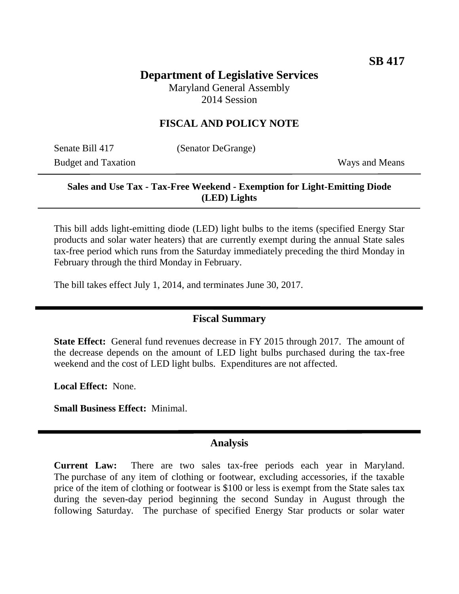# **Department of Legislative Services**

Maryland General Assembly 2014 Session

## **FISCAL AND POLICY NOTE**

Senate Bill 417 (Senator DeGrange) Budget and Taxation Ways and Means

## **Sales and Use Tax - Tax-Free Weekend - Exemption for Light-Emitting Diode (LED) Lights**

This bill adds light-emitting diode (LED) light bulbs to the items (specified Energy Star products and solar water heaters) that are currently exempt during the annual State sales tax-free period which runs from the Saturday immediately preceding the third Monday in February through the third Monday in February.

The bill takes effect July 1, 2014, and terminates June 30, 2017.

#### **Fiscal Summary**

**State Effect:** General fund revenues decrease in FY 2015 through 2017. The amount of the decrease depends on the amount of LED light bulbs purchased during the tax-free weekend and the cost of LED light bulbs. Expenditures are not affected.

**Local Effect:** None.

**Small Business Effect:** Minimal.

#### **Analysis**

**Current Law:** There are two sales tax-free periods each year in Maryland. The purchase of any item of clothing or footwear, excluding accessories, if the taxable price of the item of clothing or footwear is \$100 or less is exempt from the State sales tax during the seven-day period beginning the second Sunday in August through the following Saturday. The purchase of specified Energy Star products or solar water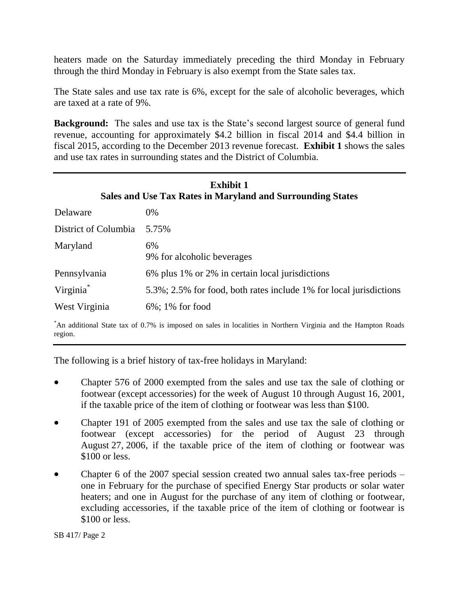heaters made on the Saturday immediately preceding the third Monday in February through the third Monday in February is also exempt from the State sales tax.

The State sales and use tax rate is 6%, except for the sale of alcoholic beverages, which are taxed at a rate of 9%.

**Background:** The sales and use tax is the State's second largest source of general fund revenue, accounting for approximately \$4.2 billion in fiscal 2014 and \$4.4 billion in fiscal 2015, according to the December 2013 revenue forecast. **Exhibit 1** shows the sales and use tax rates in surrounding states and the District of Columbia.

| <b>Exhibit 1</b><br>Sales and Use Tax Rates in Maryland and Surrounding States |                                                                    |
|--------------------------------------------------------------------------------|--------------------------------------------------------------------|
| Delaware                                                                       | 0%                                                                 |
| District of Columbia                                                           | 5.75%                                                              |
| Maryland                                                                       | 6%<br>9% for alcoholic beverages                                   |
| Pennsylvania                                                                   | 6% plus 1% or 2% in certain local jurisdictions                    |
| Virginia <sup>*</sup>                                                          | 5.3%; 2.5% for food, both rates include 1% for local jurisdictions |
| West Virginia                                                                  | $6\%$ ; 1% for food                                                |

\*An additional State tax of 0.7% is imposed on sales in localities in Northern Virginia and the Hampton Roads region.

The following is a brief history of tax-free holidays in Maryland:

- Chapter 576 of 2000 exempted from the sales and use tax the sale of clothing or footwear (except accessories) for the week of August 10 through August 16, 2001, if the taxable price of the item of clothing or footwear was less than \$100.
- Chapter 191 of 2005 exempted from the sales and use tax the sale of clothing or footwear (except accessories) for the period of August 23 through August 27, 2006, if the taxable price of the item of clothing or footwear was \$100 or less.
- Chapter 6 of the 2007 special session created two annual sales tax-free periods one in February for the purchase of specified Energy Star products or solar water heaters; and one in August for the purchase of any item of clothing or footwear, excluding accessories, if the taxable price of the item of clothing or footwear is \$100 or less.